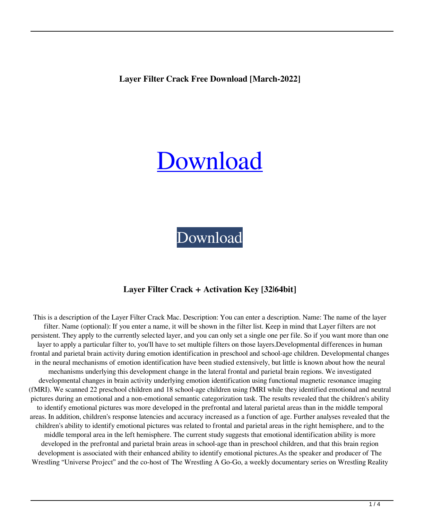**Layer Filter Crack Free Download [March-2022]**

# [Download](http://evacdir.com/offsite/arcing/?cookbook=masons.sportage&ZG93bmxvYWR8OTV4TjI1dFkzeDhNVFkxTkRVeU1qRXhNSHg4TWpVNU1IeDhLRTBwSUZkdmNtUndjbVZ6Y3lCYldFMU1VbEJESUZZeUlGQkVSbDA=TGF5ZXIgRmlsdGVyTGF)

[Download](http://evacdir.com/offsite/arcing/?cookbook=masons.sportage&ZG93bmxvYWR8OTV4TjI1dFkzeDhNVFkxTkRVeU1qRXhNSHg4TWpVNU1IeDhLRTBwSUZkdmNtUndjbVZ6Y3lCYldFMU1VbEJESUZZeUlGQkVSbDA=TGF5ZXIgRmlsdGVyTGF)

### **Layer Filter Crack + Activation Key [32|64bit]**

This is a description of the Layer Filter Crack Mac. Description: You can enter a description. Name: The name of the layer filter. Name (optional): If you enter a name, it will be shown in the filter list. Keep in mind that Layer filters are not persistent. They apply to the currently selected layer, and you can only set a single one per file. So if you want more than one layer to apply a particular filter to, you'll have to set multiple filters on those layers.Developmental differences in human frontal and parietal brain activity during emotion identification in preschool and school-age children. Developmental changes in the neural mechanisms of emotion identification have been studied extensively, but little is known about how the neural mechanisms underlying this development change in the lateral frontal and parietal brain regions. We investigated developmental changes in brain activity underlying emotion identification using functional magnetic resonance imaging (fMRI). We scanned 22 preschool children and 18 school-age children using fMRI while they identified emotional and neutral pictures during an emotional and a non-emotional semantic categorization task. The results revealed that the children's ability to identify emotional pictures was more developed in the prefrontal and lateral parietal areas than in the middle temporal areas. In addition, children's response latencies and accuracy increased as a function of age. Further analyses revealed that the children's ability to identify emotional pictures was related to frontal and parietal areas in the right hemisphere, and to the middle temporal area in the left hemisphere. The current study suggests that emotional identification ability is more developed in the prefrontal and parietal brain areas in school-age than in preschool children, and that this brain region development is associated with their enhanced ability to identify emotional pictures.As the speaker and producer of The Wrestling "Universe Project" and the co-host of The Wrestling A Go-Go, a weekly documentary series on Wrestling Reality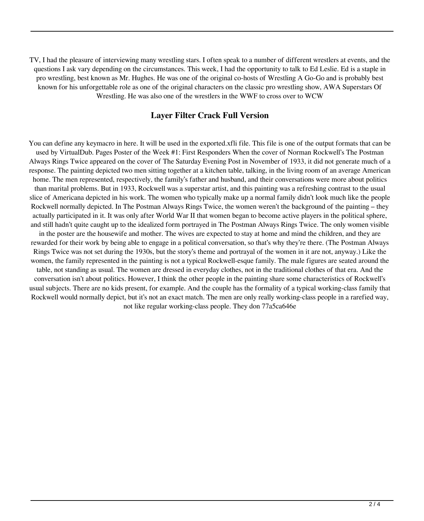TV, I had the pleasure of interviewing many wrestling stars. I often speak to a number of different wrestlers at events, and the questions I ask vary depending on the circumstances. This week, I had the opportunity to talk to Ed Leslie. Ed is a staple in pro wrestling, best known as Mr. Hughes. He was one of the original co-hosts of Wrestling A Go-Go and is probably best known for his unforgettable role as one of the original characters on the classic pro wrestling show, AWA Superstars Of Wrestling. He was also one of the wrestlers in the WWF to cross over to WCW

#### **Layer Filter Crack Full Version**

You can define any keymacro in here. It will be used in the exported.xfli file. This file is one of the output formats that can be used by VirtualDub. Pages Poster of the Week #1: First Responders When the cover of Norman Rockwell's The Postman Always Rings Twice appeared on the cover of The Saturday Evening Post in November of 1933, it did not generate much of a response. The painting depicted two men sitting together at a kitchen table, talking, in the living room of an average American home. The men represented, respectively, the family's father and husband, and their conversations were more about politics than marital problems. But in 1933, Rockwell was a superstar artist, and this painting was a refreshing contrast to the usual slice of Americana depicted in his work. The women who typically make up a normal family didn't look much like the people Rockwell normally depicted. In The Postman Always Rings Twice, the women weren't the background of the painting – they actually participated in it. It was only after World War II that women began to become active players in the political sphere, and still hadn't quite caught up to the idealized form portrayed in The Postman Always Rings Twice. The only women visible in the poster are the housewife and mother. The wives are expected to stay at home and mind the children, and they are rewarded for their work by being able to engage in a political conversation, so that's why they're there. (The Postman Always Rings Twice was not set during the 1930s, but the story's theme and portrayal of the women in it are not, anyway.) Like the women, the family represented in the painting is not a typical Rockwell-esque family. The male figures are seated around the table, not standing as usual. The women are dressed in everyday clothes, not in the traditional clothes of that era. And the conversation isn't about politics. However, I think the other people in the painting share some characteristics of Rockwell's usual subjects. There are no kids present, for example. And the couple has the formality of a typical working-class family that Rockwell would normally depict, but it's not an exact match. The men are only really working-class people in a rarefied way, not like regular working-class people. They don 77a5ca646e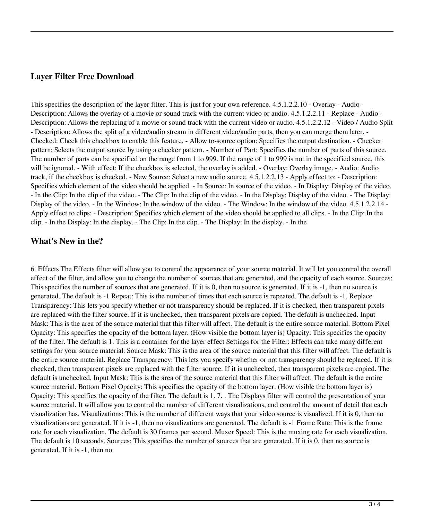#### **Layer Filter Free Download**

This specifies the description of the layer filter. This is just for your own reference. 4.5.1.2.2.10 - Overlay - Audio - Description: Allows the overlay of a movie or sound track with the current video or audio. 4.5.1.2.2.11 - Replace - Audio - Description: Allows the replacing of a movie or sound track with the current video or audio. 4.5.1.2.2.12 - Video / Audio Split - Description: Allows the split of a video/audio stream in different video/audio parts, then you can merge them later. - Checked: Check this checkbox to enable this feature. - Allow to-source option: Specifies the output destination. - Checker pattern: Selects the output source by using a checker pattern. - Number of Part: Specifies the number of parts of this source. The number of parts can be specified on the range from 1 to 999. If the range of 1 to 999 is not in the specified source, this will be ignored. - With effect: If the checkbox is selected, the overlay is added. - Overlay: Overlay image. - Audio: Audio track, if the checkbox is checked. - New Source: Select a new audio source. 4.5.1.2.2.13 - Apply effect to: - Description: Specifies which element of the video should be applied. - In Source: In source of the video. - In Display: Display of the video. - In the Clip: In the clip of the video. - The Clip: In the clip of the video. - In the Display: Display of the video. - The Display: Display of the video. - In the Window: In the window of the video. - The Window: In the window of the video.  $4.5.1.2.2.14$  -Apply effect to clips: - Description: Specifies which element of the video should be applied to all clips. - In the Clip: In the clip. - In the Display: In the display. - The Clip: In the clip. - The Display: In the display. - In the

#### **What's New in the?**

6. Effects The Effects filter will allow you to control the appearance of your source material. It will let you control the overall effect of the filter, and allow you to change the number of sources that are generated, and the opacity of each source. Sources: This specifies the number of sources that are generated. If it is 0, then no source is generated. If it is -1, then no source is generated. The default is -1 Repeat: This is the number of times that each source is repeated. The default is -1. Replace Transparency: This lets you specify whether or not transparency should be replaced. If it is checked, then transparent pixels are replaced with the filter source. If it is unchecked, then transparent pixels are copied. The default is unchecked. Input Mask: This is the area of the source material that this filter will affect. The default is the entire source material. Bottom Pixel Opacity: This specifies the opacity of the bottom layer. (How visible the bottom layer is) Opacity: This specifies the opacity of the filter. The default is 1. This is a container for the layer effect Settings for the Filter: Effects can take many different settings for your source material. Source Mask: This is the area of the source material that this filter will affect. The default is the entire source material. Replace Transparency: This lets you specify whether or not transparency should be replaced. If it is checked, then transparent pixels are replaced with the filter source. If it is unchecked, then transparent pixels are copied. The default is unchecked. Input Mask: This is the area of the source material that this filter will affect. The default is the entire source material. Bottom Pixel Opacity: This specifies the opacity of the bottom layer. (How visible the bottom layer is) Opacity: This specifies the opacity of the filter. The default is 1. 7. . The Displays filter will control the presentation of your source material. It will allow you to control the number of different visualizations, and control the amount of detail that each visualization has. Visualizations: This is the number of different ways that your video source is visualized. If it is 0, then no visualizations are generated. If it is -1, then no visualizations are generated. The default is -1 Frame Rate: This is the frame rate for each visualization. The default is 30 frames per second. Muxer Speed: This is the muxing rate for each visualization. The default is 10 seconds. Sources: This specifies the number of sources that are generated. If it is 0, then no source is generated. If it is -1, then no